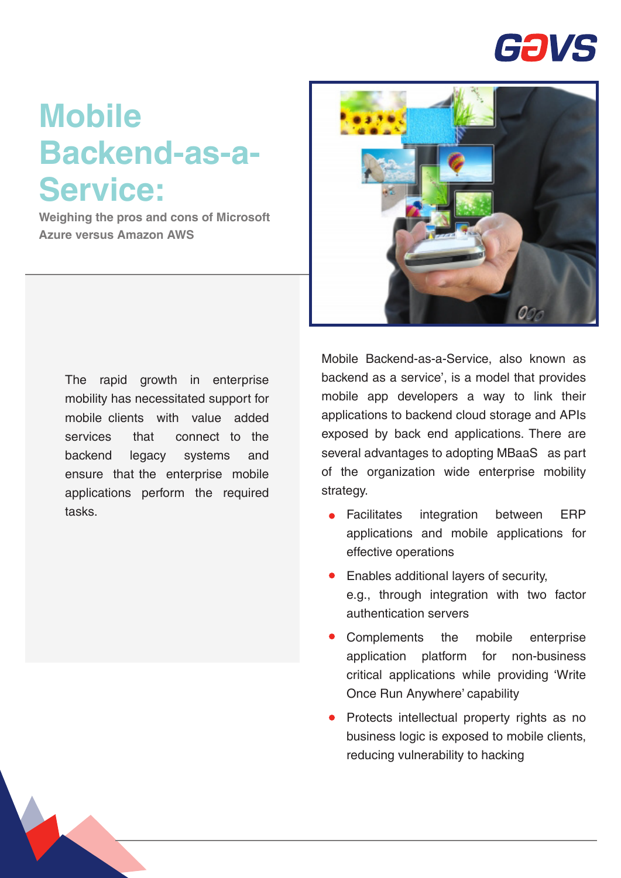

## **Mobile Backend-as-a-Service:**

**Weighing the pros and cons of Microsoft Azure versus Amazon AWS**



The rapid growth in enterprise mobility has necessitated support for mobile clients with value added services that connect to the backend legacy systems and ensure that the enterprise mobile applications perform the required tasks.

Mobile Backend-as-a-Service, also known as backend as a service', is a model that provides mobile app developers a way to link their applications to backend cloud storage and APIs exposed by back end applications. There are several advantages to adopting MBaaS as part of the organization wide enterprise mobility strategy.

- Facilitates integration between ERP  $\bullet$ applications and mobile applications for effective operations
- Enables additional layers of security, e.g., through integration with two factor authentication servers
- Complements the mobile enterprise application platform for non-business critical applications while providing 'Write Once Run Anywhere' capability
- Protects intellectual property rights as no business logic is exposed to mobile clients, reducing vulnerability to hacking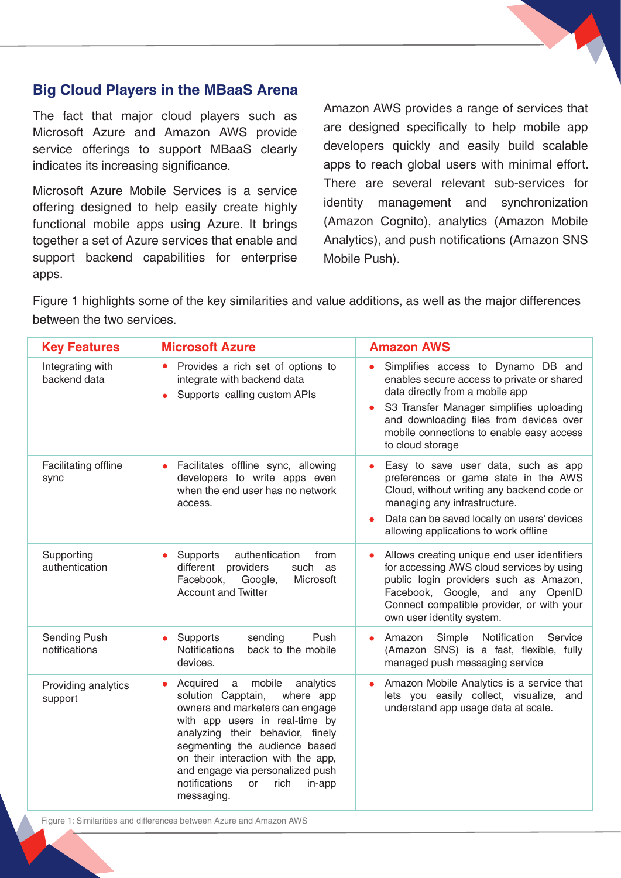## **Big Cloud Players in the MBaaS Arena**

The fact that major cloud players such as Microsoft Azure and Amazon AWS provide service offerings to support MBaaS clearly indicates its increasing significance.

Microsoft Azure Mobile Services is a service offering designed to help easily create highly functional mobile apps using Azure. It brings together a set of Azure services that enable and support backend capabilities for enterprise apps.

Amazon AWS provides a range of services that are designed specifically to help mobile app developers quickly and easily build scalable apps to reach global users with minimal effort. There are several relevant sub-services for identity management and synchronization (Amazon Cognito), analytics (Amazon Mobile Analytics), and push notifications (Amazon SNS Mobile Push).

Figure 1 highlights some of the key similarities and value additions, as well as the major differences between the two services.

| <b>Key Features</b>              | <b>Microsoft Azure</b>                                                                                                                                                                                                                                                                                                                             | <b>Amazon AWS</b>                                                                                                                                                                                                                                                          |
|----------------------------------|----------------------------------------------------------------------------------------------------------------------------------------------------------------------------------------------------------------------------------------------------------------------------------------------------------------------------------------------------|----------------------------------------------------------------------------------------------------------------------------------------------------------------------------------------------------------------------------------------------------------------------------|
| Integrating with<br>backend data | Provides a rich set of options to<br>$\bullet$<br>integrate with backend data<br>Supports calling custom APIs                                                                                                                                                                                                                                      | Simplifies access to Dynamo DB and<br>enables secure access to private or shared<br>data directly from a mobile app<br>S3 Transfer Manager simplifies uploading<br>and downloading files from devices over<br>mobile connections to enable easy access<br>to cloud storage |
| Facilitating offline<br>sync     | Facilitates offline sync, allowing<br>developers to write apps even<br>when the end user has no network<br>access.                                                                                                                                                                                                                                 | Easy to save user data, such as app<br>$\bullet$<br>preferences or game state in the AWS<br>Cloud, without writing any backend code or<br>managing any infrastructure.<br>Data can be saved locally on users' devices<br>allowing applications to work offline             |
| Supporting<br>authentication     | Supports<br>authentication<br>from<br>different providers<br>such as<br>Google,<br>Facebook,<br>Microsoft<br><b>Account and Twitter</b>                                                                                                                                                                                                            | Allows creating unique end user identifiers<br>for accessing AWS cloud services by using<br>public login providers such as Amazon,<br>Facebook, Google, and any OpenID<br>Connect compatible provider, or with your<br>own user identity system.                           |
| Sending Push<br>notifications    | Supports<br>Push<br>sending<br><b>Notifications</b><br>back to the mobile<br>devices.                                                                                                                                                                                                                                                              | Simple<br>Notification<br>Service<br>Amazon<br>(Amazon SNS) is a fast, flexible, fully<br>managed push messaging service                                                                                                                                                   |
| Providing analytics<br>support   | Acquired<br>mobile<br>analytics<br>a<br>solution Capptain,<br>where app<br>owners and marketers can engage<br>with app users in real-time by<br>analyzing their behavior, finely<br>segmenting the audience based<br>on their interaction with the app,<br>and engage via personalized push<br>notifications<br>or<br>rich<br>in-app<br>messaging. | Amazon Mobile Analytics is a service that<br>lets you easily collect, visualize, and<br>understand app usage data at scale.                                                                                                                                                |

Figure 1: Similarities and differences between Azure and Amazon AWS